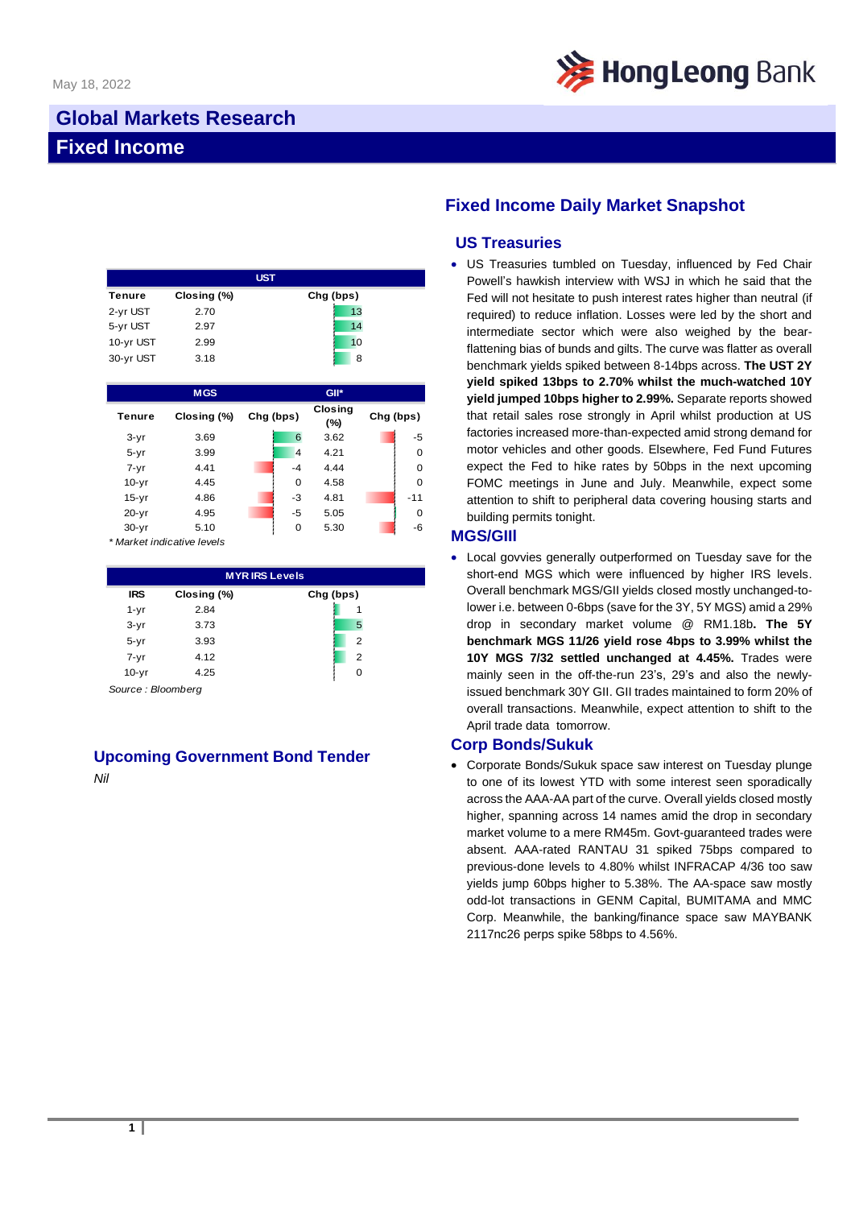

# **Global Markets Research Fixed Income**

|           |             | <b>UST</b> |
|-----------|-------------|------------|
| Tenure    | Closing (%) | Chg (bps)  |
| 2-yr UST  | 2.70        | 13         |
| 5-yr UST  | 2.97        | 14         |
| 10-yr UST | 2.99        | 10         |
| 30-yr UST | 3.18        | 8          |

|           | <b>MGS</b>  |           |                | GII*                  |           |          |
|-----------|-------------|-----------|----------------|-----------------------|-----------|----------|
| Tenure    | Closing (%) | Chg (bps) |                | <b>Closing</b><br>(%) | Chg (bps) |          |
| $3 - yr$  | 3.69        |           | 6              | 3.62                  |           | $-5$     |
| $5 - yr$  | 3.99        |           | $\overline{4}$ | 4.21                  |           | $\Omega$ |
| $7 - yr$  | 4.41        |           | $-4$           | 4.44                  |           | $\Omega$ |
| $10-yr$   | 4.45        |           | 0              | 4.58                  |           | $\Omega$ |
| $15-yr$   | 4.86        |           | $-3$           | 4.81                  |           | $-11$    |
| $20 - yr$ | 4.95        |           | $-5$           | 5.05                  |           | $\Omega$ |
| $30 - yr$ | 5.10        |           | 0              | 5.30                  |           | -6       |

*\* Market indicative levels*

| <b>MYRIRS Levels</b> |             |           |                |  |  |
|----------------------|-------------|-----------|----------------|--|--|
| <b>IRS</b>           | Closing (%) | Chg (bps) |                |  |  |
| $1 - yr$             | 2.84        |           | 1              |  |  |
| $3-yr$               | 3.73        |           | 5              |  |  |
| $5 - yr$             | 3.93        |           | $\overline{2}$ |  |  |
| $7 - yr$             | 4.12        |           | $\overline{2}$ |  |  |
| $10 - yr$            | 4.25        |           | 0              |  |  |

*Source : Bloomberg*

## **Upcoming Government Bond Tender**

*Nil*

## **Fixed Income Daily Market Snapshot**

#### **US Treasuries**

• US Treasuries tumbled on Tuesday, influenced by Fed Chair Powell's hawkish interview with WSJ in which he said that the Fed will not hesitate to push interest rates higher than neutral (if required) to reduce inflation. Losses were led by the short and intermediate sector which were also weighed by the bearflattening bias of bunds and gilts. The curve was flatter as overall benchmark yields spiked between 8-14bps across. **The UST 2Y yield spiked 13bps to 2.70% whilst the much-watched 10Y yield jumped 10bps higher to 2.99%.** Separate reports showed that retail sales rose strongly in April whilst production at US factories increased more-than-expected amid strong demand for motor vehicles and other goods. Elsewhere, Fed Fund Futures expect the Fed to hike rates by 50bps in the next upcoming FOMC meetings in June and July. Meanwhile, expect some attention to shift to peripheral data covering housing starts and building permits tonight.

#### **MGS/GIIl**

• Local govvies generally outperformed on Tuesday save for the short-end MGS which were influenced by higher IRS levels. Overall benchmark MGS/GII yields closed mostly unchanged-tolower i.e. between 0-6bps (save for the 3Y, 5Y MGS) amid a 29% drop in secondary market volume @ RM1.18b**. The 5Y benchmark MGS 11/26 yield rose 4bps to 3.99% whilst the 10Y MGS 7/32 settled unchanged at 4.45%.** Trades were mainly seen in the off-the-run 23's, 29's and also the newlyissued benchmark 30Y GII. GII trades maintained to form 20% of overall transactions. Meanwhile, expect attention to shift to the April trade data tomorrow.

#### **Corp Bonds/Sukuk**

• Corporate Bonds/Sukuk space saw interest on Tuesday plunge to one of its lowest YTD with some interest seen sporadically across the AAA-AA part of the curve. Overall yields closed mostly higher, spanning across 14 names amid the drop in secondary market volume to a mere RM45m. Govt-guaranteed trades were absent. AAA-rated RANTAU 31 spiked 75bps compared to previous-done levels to 4.80% whilst INFRACAP 4/36 too saw yields jump 60bps higher to 5.38%. The AA-space saw mostly odd-lot transactions in GENM Capital, BUMITAMA and MMC Corp. Meanwhile, the banking/finance space saw MAYBANK 2117nc26 perps spike 58bps to 4.56%.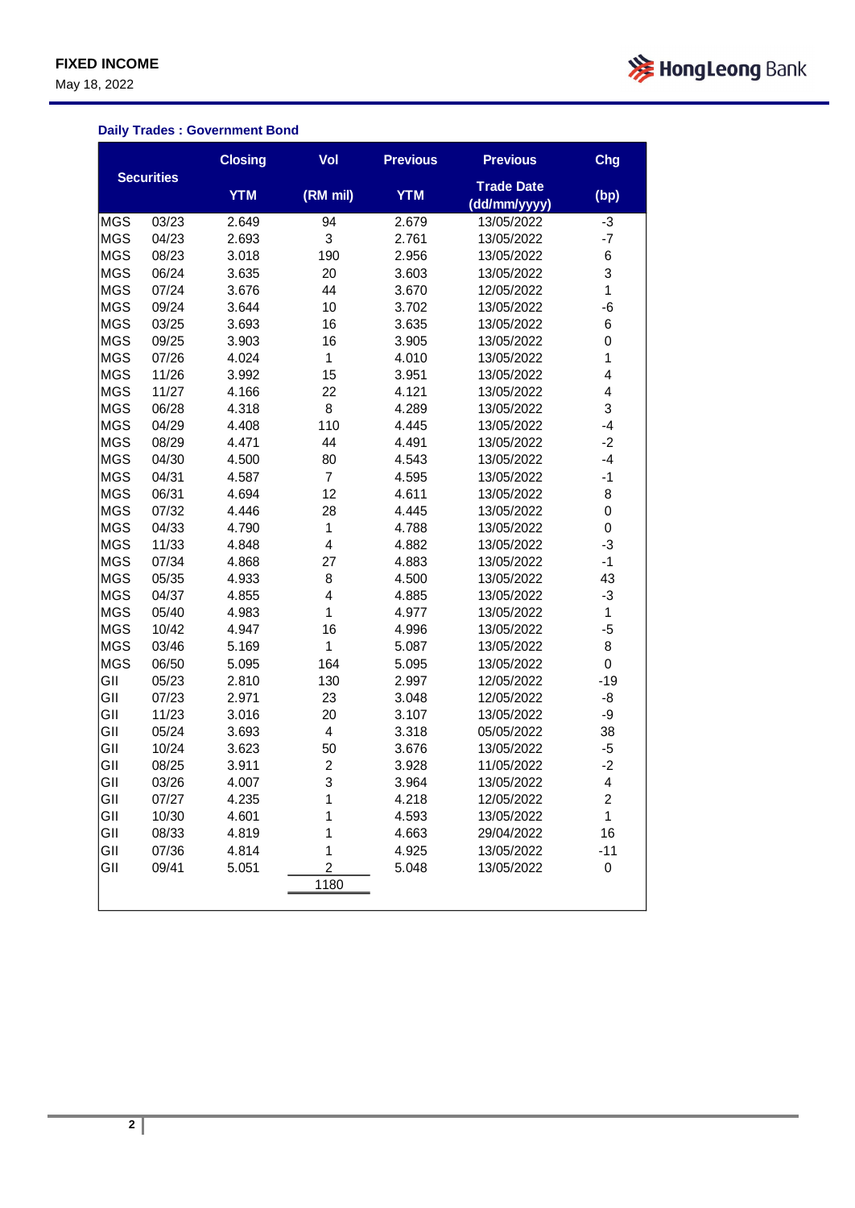May 18, 2022



### **Daily Trades : Government Bond**

|            |                   | <b>Closing</b> | Vol                     | <b>Previous</b> | <b>Previous</b>                   | Chg          |
|------------|-------------------|----------------|-------------------------|-----------------|-----------------------------------|--------------|
|            | <b>Securities</b> | <b>YTM</b>     | (RM mil)                | <b>YTM</b>      | <b>Trade Date</b><br>(dd/mm/yyyy) | (bp)         |
| <b>MGS</b> | 03/23             | 2.649          | 94                      | 2.679           | 13/05/2022                        | $-3$         |
| <b>MGS</b> | 04/23             | 2.693          | 3                       | 2.761           | 13/05/2022                        | -7           |
| <b>MGS</b> | 08/23             | 3.018          | 190                     | 2.956           | 13/05/2022                        | 6            |
| <b>MGS</b> | 06/24             | 3.635          | 20                      | 3.603           | 13/05/2022                        | 3            |
| <b>MGS</b> | 07/24             | 3.676          | 44                      | 3.670           | 12/05/2022                        | $\mathbf{1}$ |
| <b>MGS</b> | 09/24             | 3.644          | 10                      | 3.702           | 13/05/2022                        | -6           |
| <b>MGS</b> | 03/25             | 3.693          | 16                      | 3.635           | 13/05/2022                        | 6            |
| <b>MGS</b> | 09/25             | 3.903          | 16                      | 3.905           | 13/05/2022                        | $\mathbf 0$  |
| <b>MGS</b> | 07/26             | 4.024          | $\mathbf{1}$            | 4.010           | 13/05/2022                        | $\mathbf 1$  |
| <b>MGS</b> | 11/26             | 3.992          | 15                      | 3.951           | 13/05/2022                        | 4            |
| <b>MGS</b> | 11/27             | 4.166          | 22                      | 4.121           | 13/05/2022                        | 4            |
| <b>MGS</b> | 06/28             | 4.318          | 8                       | 4.289           | 13/05/2022                        | 3            |
| <b>MGS</b> | 04/29             | 4.408          | 110                     | 4.445           | 13/05/2022                        | $-4$         |
| <b>MGS</b> | 08/29             | 4.471          | 44                      | 4.491           | 13/05/2022                        | $-2$         |
| <b>MGS</b> | 04/30             | 4.500          | 80                      | 4.543           | 13/05/2022                        | $-4$         |
| <b>MGS</b> | 04/31             | 4.587          | $\overline{7}$          | 4.595           | 13/05/2022                        | $-1$         |
| <b>MGS</b> | 06/31             | 4.694          | 12                      | 4.611           | 13/05/2022                        | 8            |
| <b>MGS</b> | 07/32             | 4.446          | 28                      | 4.445           | 13/05/2022                        | 0            |
| <b>MGS</b> | 04/33             | 4.790          | $\mathbf 1$             | 4.788           | 13/05/2022                        | 0            |
| <b>MGS</b> | 11/33             | 4.848          | 4                       | 4.882           | 13/05/2022                        | $-3$         |
| <b>MGS</b> | 07/34             | 4.868          | 27                      | 4.883           | 13/05/2022                        | $-1$         |
| <b>MGS</b> | 05/35             | 4.933          | 8                       | 4.500           | 13/05/2022                        | 43           |
| <b>MGS</b> | 04/37             | 4.855          | 4                       | 4.885           | 13/05/2022                        | $-3$         |
| <b>MGS</b> | 05/40             | 4.983          | 1                       | 4.977           | 13/05/2022                        | $\mathbf{1}$ |
| <b>MGS</b> | 10/42             | 4.947          | 16                      | 4.996           | 13/05/2022                        | $-5$         |
| <b>MGS</b> | 03/46             | 5.169          | 1                       | 5.087           | 13/05/2022                        | 8            |
| <b>MGS</b> | 06/50             | 5.095          | 164                     | 5.095           | 13/05/2022                        | 0            |
| GII        | 05/23             | 2.810          | 130                     | 2.997           | 12/05/2022                        | $-19$        |
| GII        | 07/23             | 2.971          | 23                      | 3.048           | 12/05/2022                        | -8           |
| GII        | 11/23             | 3.016          | 20                      | 3.107           | 13/05/2022                        | -9           |
| GII        | 05/24             | 3.693          | $\overline{\mathbf{4}}$ | 3.318           | 05/05/2022                        | 38           |
| GII        | 10/24             | 3.623          | 50                      | 3.676           | 13/05/2022                        | $-5$         |
| GII        | 08/25             | 3.911          | $\overline{c}$          | 3.928           | 11/05/2022                        | $-2$         |
| GII        | 03/26             | 4.007          | 3                       | 3.964           | 13/05/2022                        | 4            |
| GII        | 07/27             | 4.235          | 1                       | 4.218           | 12/05/2022                        | 2            |
| GII        | 10/30             | 4.601          | 1                       | 4.593           | 13/05/2022                        | 1            |
| GII        | 08/33             | 4.819          | 1                       | 4.663           | 29/04/2022                        | 16           |
| GII        | 07/36             | 4.814          | 1                       | 4.925           | 13/05/2022                        | $-11$        |
| GII        | 09/41             | 5.051          | 2                       | 5.048           | 13/05/2022                        | $\pmb{0}$    |
|            |                   |                | 1180                    |                 |                                   |              |
|            |                   |                |                         |                 |                                   |              |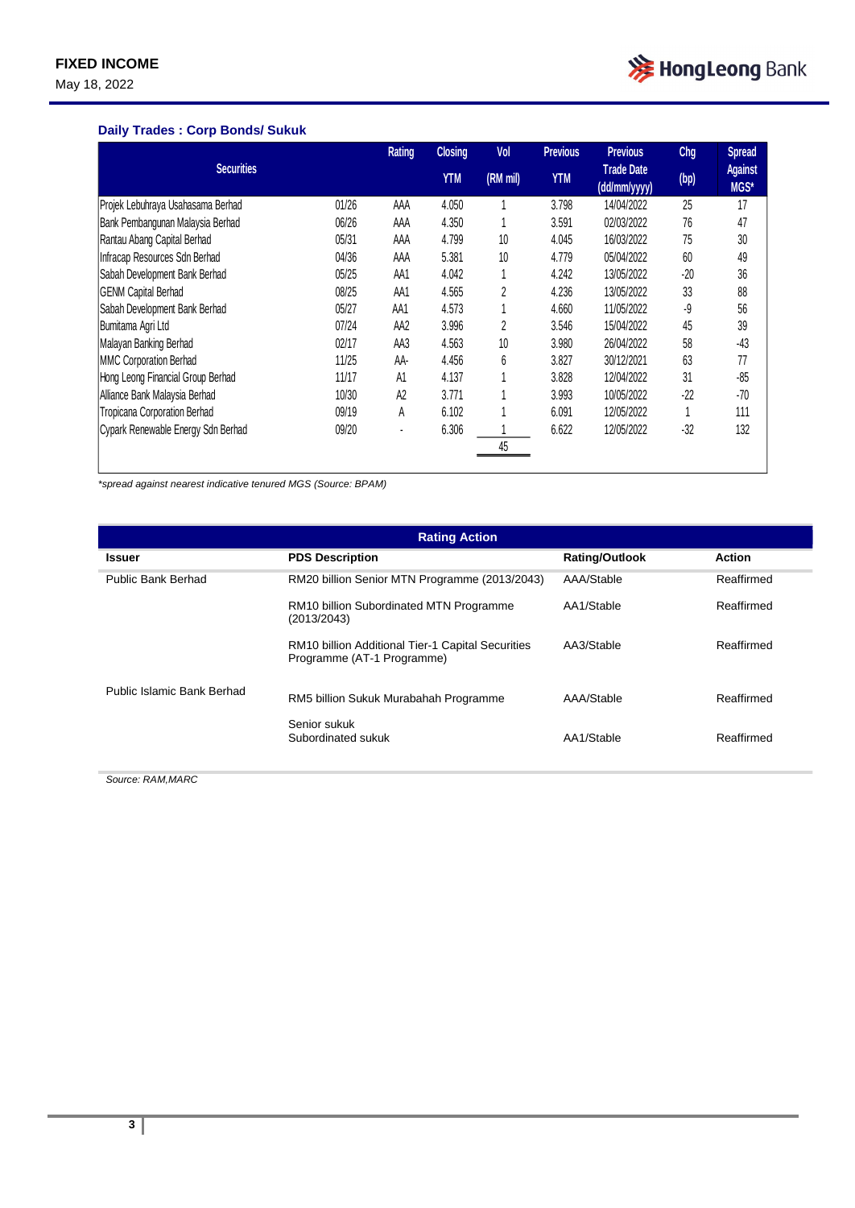May 18, 2022



### **Daily Trades : Corp Bonds/ Sukuk**

|                                    |       | Rating         | <b>Closing</b> | Vol      | <b>Previous</b> | <b>Previous</b>                   | Chg   | <b>Spread</b>          |
|------------------------------------|-------|----------------|----------------|----------|-----------------|-----------------------------------|-------|------------------------|
| <b>Securities</b>                  |       |                | <b>YTM</b>     | (RM mil) | <b>YTM</b>      | <b>Trade Date</b><br>(dd/mm/yyyy) | (bp)  | <b>Against</b><br>MGS* |
| Projek Lebuhraya Usahasama Berhad  | 01/26 | AAA            | 4.050          |          | 3.798           | 14/04/2022                        | 25    | 17                     |
| Bank Pembangunan Malaysia Berhad   | 06/26 | AAA            | 4.350          |          | 3.591           | 02/03/2022                        | 76    | 47                     |
| Rantau Abang Capital Berhad        | 05/31 | AAA            | 4.799          | 10       | 4.045           | 16/03/2022                        | 75    | 30                     |
| Infracap Resources Sdn Berhad      | 04/36 | AAA            | 5.381          | 10       | 4.779           | 05/04/2022                        | 60    | 49                     |
| Sabah Development Bank Berhad      | 05/25 | AA1            | 4.042          | 1        | 4.242           | 13/05/2022                        | $-20$ | 36                     |
| <b>GENM Capital Berhad</b>         | 08/25 | AA1            | 4.565          | 2        | 4.236           | 13/05/2022                        | 33    | 88                     |
| Sabah Development Bank Berhad      | 05/27 | AA1            | 4.573          |          | 4.660           | 11/05/2022                        | -9    | 56                     |
| Bumitama Agri Ltd                  | 07/24 | AA2            | 3.996          | 2        | 3.546           | 15/04/2022                        | 45    | 39                     |
| Malayan Banking Berhad             | 02/17 | AA3            | 4.563          | 10       | 3.980           | 26/04/2022                        | 58    | $-43$                  |
| MMC Corporation Berhad             | 11/25 | AA-            | 4.456          | 6        | 3.827           | 30/12/2021                        | 63    | 77                     |
| Hong Leong Financial Group Berhad  | 11/17 | A1             | 4.137          |          | 3.828           | 12/04/2022                        | 31    | $-85$                  |
| Alliance Bank Malaysia Berhad      | 10/30 | A <sub>2</sub> | 3.771          |          | 3.993           | 10/05/2022                        | $-22$ | $-70$                  |
| Tropicana Corporation Berhad       | 09/19 | A              | 6.102          |          | 6.091           | 12/05/2022                        |       | 111                    |
| Cypark Renewable Energy Sdn Berhad | 09/20 |                | 6.306          |          | 6.622           | 12/05/2022                        | $-32$ | 132                    |
|                                    |       |                |                | 45       |                 |                                   |       |                        |

*\*spread against nearest indicative tenured MGS (Source: BPAM)*

| <b>Rating Action</b>       |                                                                                 |                       |               |  |  |  |
|----------------------------|---------------------------------------------------------------------------------|-----------------------|---------------|--|--|--|
| Issuer                     | <b>PDS Description</b>                                                          | <b>Rating/Outlook</b> | <b>Action</b> |  |  |  |
| Public Bank Berhad         | RM20 billion Senior MTN Programme (2013/2043)                                   | AAA/Stable            | Reaffirmed    |  |  |  |
|                            | RM10 billion Subordinated MTN Programme<br>(2013/2043)                          | AA1/Stable            | Reaffirmed    |  |  |  |
|                            | RM10 billion Additional Tier-1 Capital Securities<br>Programme (AT-1 Programme) | AA3/Stable            | Reaffirmed    |  |  |  |
| Public Islamic Bank Berhad | RM5 billion Sukuk Murabahah Programme                                           | AAA/Stable            | Reaffirmed    |  |  |  |
|                            | Senior sukuk<br>Subordinated sukuk                                              | AA1/Stable            | Reaffirmed    |  |  |  |

*Source: RAM,MARC*